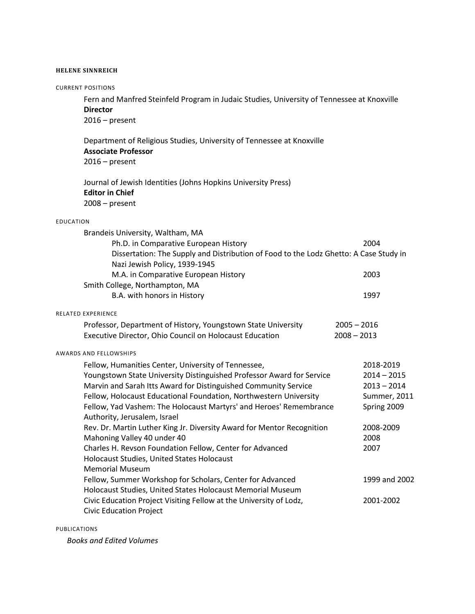## **HELENE SINNREICH**

| <b>CURRENT POSITIONS</b>                                                                                                                                                                                                                                                                                                                                                   |                                |                                                                            |
|----------------------------------------------------------------------------------------------------------------------------------------------------------------------------------------------------------------------------------------------------------------------------------------------------------------------------------------------------------------------------|--------------------------------|----------------------------------------------------------------------------|
| Fern and Manfred Steinfeld Program in Judaic Studies, University of Tennessee at Knoxville<br><b>Director</b><br>$2016$ – present                                                                                                                                                                                                                                          |                                |                                                                            |
| Department of Religious Studies, University of Tennessee at Knoxville<br><b>Associate Professor</b><br>$2016$ – present                                                                                                                                                                                                                                                    |                                |                                                                            |
| Journal of Jewish Identities (Johns Hopkins University Press)<br><b>Editor in Chief</b><br>$2008 - present$                                                                                                                                                                                                                                                                |                                |                                                                            |
| <b>EDUCATION</b>                                                                                                                                                                                                                                                                                                                                                           |                                |                                                                            |
| Brandeis University, Waltham, MA<br>Ph.D. in Comparative European History<br>Dissertation: The Supply and Distribution of Food to the Lodz Ghetto: A Case Study in<br>Nazi Jewish Policy, 1939-1945                                                                                                                                                                        |                                | 2004                                                                       |
| M.A. in Comparative European History<br>Smith College, Northampton, MA                                                                                                                                                                                                                                                                                                     |                                | 2003                                                                       |
| B.A. with honors in History                                                                                                                                                                                                                                                                                                                                                |                                | 1997                                                                       |
| RELATED EXPERIENCE<br>Professor, Department of History, Youngstown State University<br>Executive Director, Ohio Council on Holocaust Education                                                                                                                                                                                                                             | $2005 - 2016$<br>$2008 - 2013$ |                                                                            |
| <b>AWARDS AND FELLOWSHIPS</b>                                                                                                                                                                                                                                                                                                                                              |                                |                                                                            |
| Fellow, Humanities Center, University of Tennessee,<br>Youngstown State University Distinguished Professor Award for Service<br>Marvin and Sarah Itts Award for Distinguished Community Service<br>Fellow, Holocaust Educational Foundation, Northwestern University<br>Fellow, Yad Vashem: The Holocaust Martyrs' and Heroes' Remembrance<br>Authority, Jerusalem, Israel |                                | 2018-2019<br>$2014 - 2015$<br>$2013 - 2014$<br>Summer, 2011<br>Spring 2009 |
| Rev. Dr. Martin Luther King Jr. Diversity Award for Mentor Recognition<br>Mahoning Valley 40 under 40<br>Charles H. Revson Foundation Fellow, Center for Advanced<br>Holocaust Studies, United States Holocaust<br><b>Memorial Museum</b>                                                                                                                                  |                                | 2008-2009<br>2008<br>2007                                                  |
| Fellow, Summer Workshop for Scholars, Center for Advanced<br>Holocaust Studies, United States Holocaust Memorial Museum                                                                                                                                                                                                                                                    |                                | 1999 and 2002                                                              |
| Civic Education Project Visiting Fellow at the University of Lodz,<br><b>Civic Education Project</b>                                                                                                                                                                                                                                                                       |                                | 2001-2002                                                                  |
|                                                                                                                                                                                                                                                                                                                                                                            |                                |                                                                            |

PUBLICATIONS

*Books and Edited Volumes*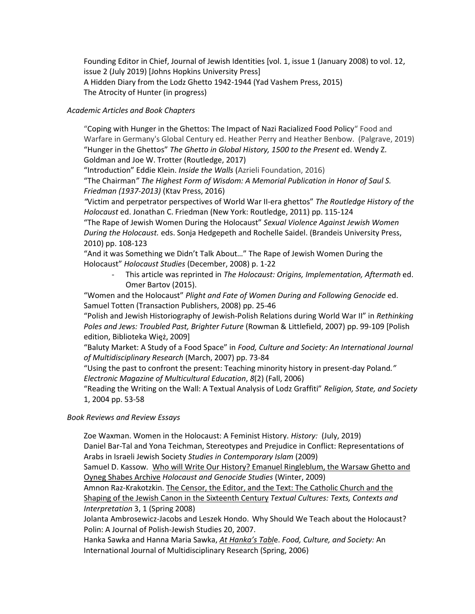Founding Editor in Chief, Journal of Jewish Identities [vol. 1, issue 1 (January 2008) to vol. 12, issue 2 (July 2019) [Johns Hopkins University Press] A Hidden Diary from the Lodz Ghetto 1942-1944 (Yad Vashem Press, 2015) The Atrocity of Hunter (in progress)

## *Academic Articles and Book Chapters*

"Coping with Hunger in the Ghettos: The Impact of Nazi Racialized Food Policy" Food and Warfare in Germany's Global Century ed. Heather Perry and Heather Benbow. (Palgrave, 2019) "Hunger in the Ghettos" *The Ghetto in Global History, 1500 to the Present* ed. Wendy Z. Goldman and Joe W. Trotter (Routledge, 2017)

"Introduction" Eddie Klein. *Inside the Walls* (Azrieli Foundation, 2016)

"The Chairman*" The Highest Form of Wisdom: A Memorial Publication in Honor of Saul S. Friedman (1937-2013)* (Ktav Press, 2016)

*"*Victim and perpetrator perspectives of World War II-era ghettos" *The Routledge History of the Holocaust* ed. Jonathan C. Friedman (New York: Routledge, 2011) pp. 115-124

"The Rape of Jewish Women During the Holocaust" *Sexual Violence Against Jewish Women During the Holocaust.* eds. Sonja Hedgepeth and Rochelle Saidel. (Brandeis University Press, 2010) pp. 108-123

"And it was Something we Didn't Talk About…" The Rape of Jewish Women During the Holocaust" *Holocaust Studies* (December, 2008) p. 1-22

- This article was reprinted in *The Holocaust: Origins, Implementation, Aftermath* ed. Omer Bartov (2015).

"Women and the Holocaust" *Plight and Fate of Women During and Following Genocide* ed. Samuel Totten (Transaction Publishers, 2008) pp. 25-46

"Polish and Jewish Historiography of Jewish-Polish Relations during World War II" in *Rethinking Poles and Jews: Troubled Past, Brighter Future* (Rowman & Littlefield, 2007) pp. 99-109 [Polish edition, Biblioteka Więż, 2009]

"Baluty Market: A Study of a Food Space" in *Food, Culture and Society: An International Journal of Multidisciplinary Research* (March, 2007) pp. 73-84

"Using the past to confront the present: Teaching minority history in present-day Poland*." Electronic Magazine of Multicultural Education*, *8*(2) (Fall, 2006)

"Reading the Writing on the Wall: A Textual Analysis of Lodz Graffiti" *Religion, State, and Society* 1, 2004 pp. 53-58

## *Book Reviews and Review Essays*

Zoe Waxman. Women in the Holocaust: A Feminist History. *History:* (July, 2019)

Daniel Bar-Tal and Yona Teichman, Stereotypes and Prejudice in Conflict: Representations of Arabs in Israeli Jewish Society *Studies in Contemporary Islam* (2009)

Samuel D. Kassow*.* Who will Write Our History? Emanuel Ringleblum, the Warsaw Ghetto and Oyneg Shabes Archive *Holocaust and Genocide Studies* (Winter, 2009)

Amnon Raz-Krakotzkin. The Censor, the Editor, and the Text: The Catholic Church and the Shaping of the Jewish Canon in the Sixteenth Century *Textual Cultures: Texts, Contexts and Interpretation* 3, 1 (Spring 2008)

Jolanta Ambrosewicz-Jacobs and Leszek Hondo. Why Should We Teach about the Holocaust? Polin: A Journal of Polish-Jewish Studies 20, 2007.

Hanka Sawka and Hanna Maria Sawka, *At Hanka's Tabl*e. *Food, Culture, and Society:* An International Journal of Multidisciplinary Research (Spring, 2006)